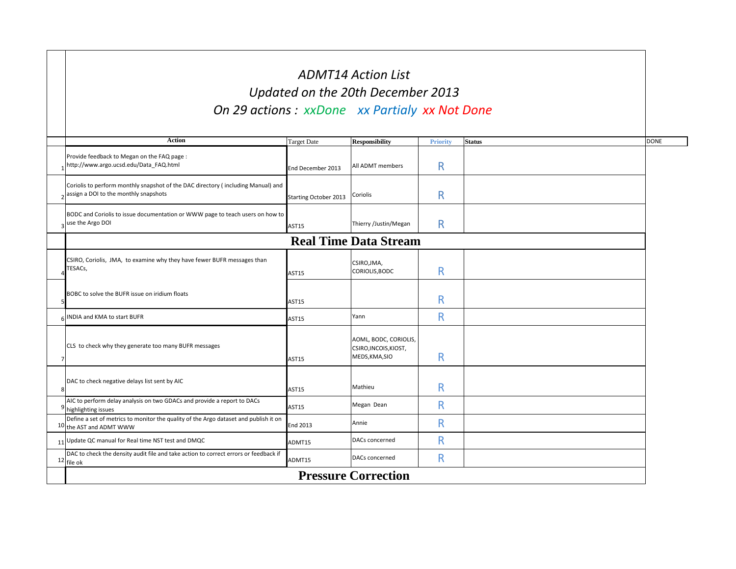|   | <b>Action</b>                                                                                                             | <b>Target Date</b>           | <b>Responsibility</b>                                            | <b>Priority</b> | <b>Status</b> | <b>DONE</b> |  |
|---|---------------------------------------------------------------------------------------------------------------------------|------------------------------|------------------------------------------------------------------|-----------------|---------------|-------------|--|
|   | Provide feedback to Megan on the FAQ page :<br>http://www.argo.ucsd.edu/Data_FAQ.html                                     | End December 2013            | <b>All ADMT</b> members                                          | R               |               |             |  |
|   | Coriolis to perform monthly snapshot of the DAC directory (including Manual) and<br>assign a DOI to the monthly snapshots | <b>Starting October 2013</b> | Coriolis                                                         | $\mathsf{R}$    |               |             |  |
|   | BODC and Coriolis to issue documentation or WWW page to teach users on how to<br>use the Argo DOI                         | <b>AST15</b>                 | Thierry /Justin/Megan                                            | R               |               |             |  |
|   | <b>Real Time Data Stream</b>                                                                                              |                              |                                                                  |                 |               |             |  |
|   | CSIRO, Coriolis, JMA, to examine why they have fewer BUFR messages than<br>TESACs,                                        | AST15                        | CSIRO, JMA,<br>CORIOLIS, BODC                                    | R               |               |             |  |
|   | BOBC to solve the BUFR issue on iridium floats                                                                            | AST15                        |                                                                  | R               |               |             |  |
|   | 6 INDIA and KMA to start BUFR                                                                                             | <b>AST15</b>                 | Yann                                                             | R               |               |             |  |
|   | CLS to check why they generate too many BUFR messages                                                                     | <b>AST15</b>                 | AOML, BODC, CORIOLIS,<br>CSIRO, INCOIS, KIOST,<br>MEDS, KMA, SIO | R               |               |             |  |
| 8 | DAC to check negative delays list sent by AIC                                                                             | <b>AST15</b>                 | Mathieu                                                          | R               |               |             |  |
|   | AIC to perform delay analysis on two GDACs and provide a report to DACs<br>highlighting issues                            | <b>AST15</b>                 | Megan Dean                                                       | R               |               |             |  |
|   | Define a set of metrics to monitor the quality of the Argo dataset and publish it on<br>10 the AST and ADMT WWW           | <b>End 2013</b>              | Annie                                                            | R               |               |             |  |
|   | 11 Update QC manual for Real time NST test and DMQC                                                                       | ADMT15                       | DACs concerned                                                   | R               |               |             |  |
|   | DAC to check the density audit file and take action to correct errors or feedback if<br>$12$ file ok                      | ADMT15                       | DACs concerned                                                   | R               |               |             |  |
|   | <b>Pressure Correction</b>                                                                                                |                              |                                                                  |                 |               |             |  |

| <b>DONE</b> |
|-------------|
|             |
|             |
|             |
|             |
|             |
|             |
|             |
|             |
|             |
|             |
|             |
|             |
|             |
|             |
|             |

## *ADMT14 Action List Updated on the 20th December 2013 On 29 actions : xxDone xx Partialy xx Not Done*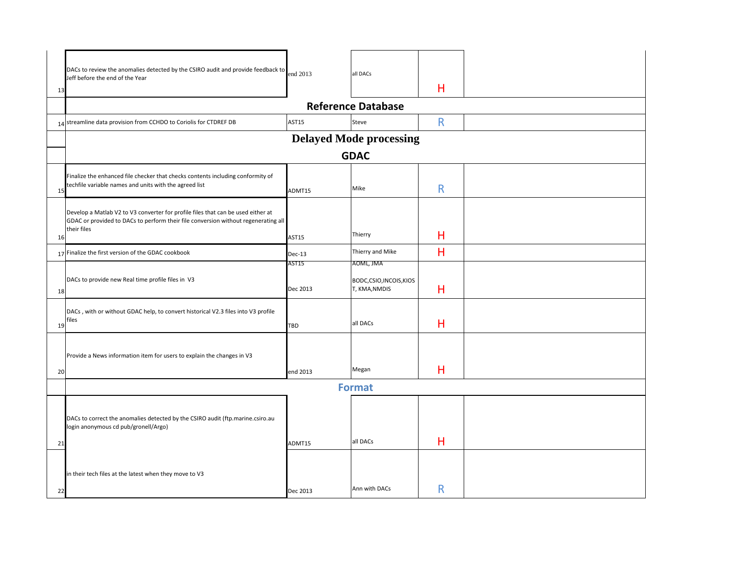| 13 | DACs to review the anomalies detected by the CSIRO audit and provide feedback to<br>Jeff before the end of the Year<br>14 streamline data provision from CCHDO to Coriolis for CTDREF DB | end 2013<br><b>AST15</b> | all DACs<br><b>Reference Database</b><br>Steve         | Н<br>R |  |  |  |
|----|------------------------------------------------------------------------------------------------------------------------------------------------------------------------------------------|--------------------------|--------------------------------------------------------|--------|--|--|--|
|    | <b>Delayed Mode processing</b>                                                                                                                                                           |                          |                                                        |        |  |  |  |
|    | <b>GDAC</b>                                                                                                                                                                              |                          |                                                        |        |  |  |  |
| 15 | Finalize the enhanced file checker that checks contents including conformity of<br>techfile variable names and units with the agreed list                                                | ADMT15                   | Mike                                                   | R      |  |  |  |
| 16 | Develop a Matlab V2 to V3 converter for profile files that can be used either at<br>GDAC or provided to DACs to perform their file conversion without regenerating all<br>their files    | <b>AST15</b>             | Thierry                                                | Н      |  |  |  |
|    | 17 Finalize the first version of the GDAC cookbook                                                                                                                                       | $Dec-13$                 | Thierry and Mike                                       | Н      |  |  |  |
| 18 | DACs to provide new Real time profile files in V3                                                                                                                                        | AST15<br>Dec 2013        | AOML, JMA<br>BODC, CSIO, INCOIS, KIOS<br>T, KMA, NMDIS | Н      |  |  |  |
| 19 | DACs, with or without GDAC help, to convert historical V2.3 files into V3 profile<br>files                                                                                               | <b>TBD</b>               | all DACs                                               | H      |  |  |  |
| 20 | Provide a News information item for users to explain the changes in V3                                                                                                                   | end 2013                 | Megan                                                  | H      |  |  |  |
|    | <b>Format</b>                                                                                                                                                                            |                          |                                                        |        |  |  |  |
| 21 | DACs to correct the anomalies detected by the CSIRO audit (ftp.marine.csiro.au<br>login anonymous cd pub/gronell/Argo)                                                                   | ADMT15                   | all DACs                                               | H      |  |  |  |
| 22 | in their tech files at the latest when they move to V3                                                                                                                                   | Dec 2013                 | Ann with DACs                                          | R      |  |  |  |